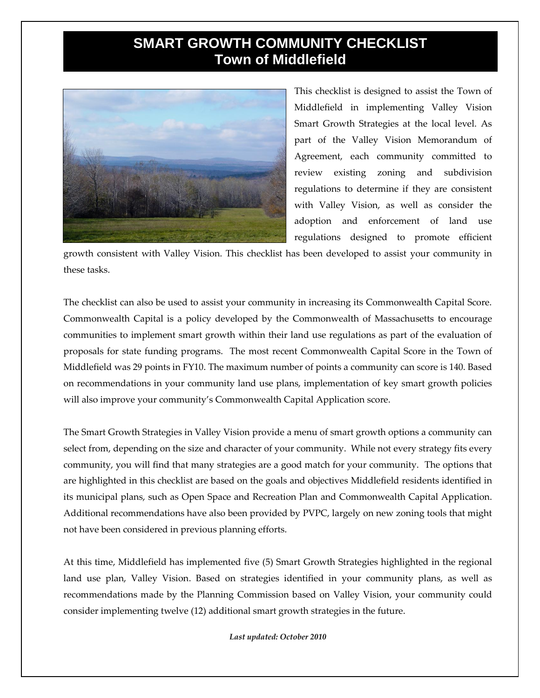## **SMART GROWTH COMMUNITY CHECKLIST Town of Middlefield**



This checklist is designed to assist the Town of Middlefield in implementing Valley Vision Smart Growth Strategies at the local level. As part of the Valley Vision Memorandum of Agreement, each community committed to review existing zoning and subdivision regulations to determine if they are consistent with Valley Vision, as well as consider the adoption and enforcement of land use regulations designed to promote efficient

growth consistent with Valley Vision. This checklist has been developed to assist your community in these tasks.

The checklist can also be used to assist your community in increasing its Commonwealth Capital Score. Commonwealth Capital is a policy developed by the Commonwealth of Massachusetts to encourage communities to implement smart growth within their land use regulations as part of the evaluation of proposals for state funding programs. The most recent Commonwealth Capital Score in the Town of Middlefield was 29 points in FY10. The maximum number of points a community can score is 140. Based on recommendations in your community land use plans, implementation of key smart growth policies will also improve your community's Commonwealth Capital Application score.

The Smart Growth Strategies in Valley Vision provide a menu of smart growth options a community can select from, depending on the size and character of your community. While not every strategy fits every community, you will find that many strategies are a good match for your community. The options that are highlighted in this checklist are based on the goals and objectives Middlefield residents identified in its municipal plans, such as Open Space and Recreation Plan and Commonwealth Capital Application. Additional recommendations have also been provided by PVPC, largely on new zoning tools that might not have been considered in previous planning efforts.

At this time, Middlefield has implemented five (5) Smart Growth Strategies highlighted in the regional land use plan, Valley Vision. Based on strategies identified in your community plans, as well as recommendations made by the Planning Commission based on Valley Vision, your community could consider implementing twelve (12) additional smart growth strategies in the future.

*Last updated: October 2010*